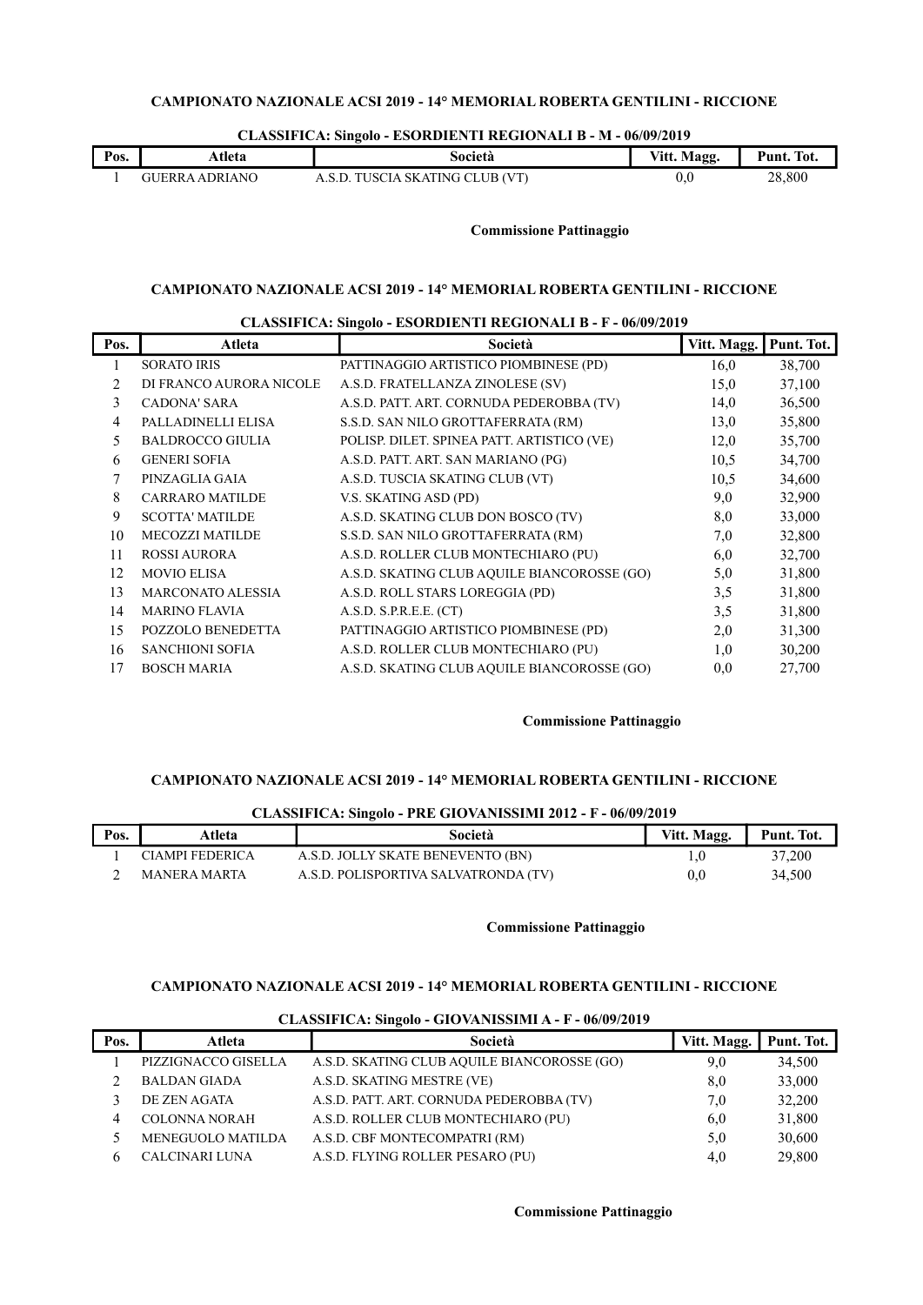| Pos. | Atleta         | Società                         | Vitt. Magg. | Punt. Tot. |
|------|----------------|---------------------------------|-------------|------------|
|      | GUERRA ADRIANO | A.S.D. TUSCIA SKATING CLUB (VT) | 0.U         | 28,800     |

### CLASSIFICA: Singolo - ESORDIENTI REGIONALI B - M - 06/09/2019

### Commissione Pattinaggio

### CAMPIONATO NAZIONALE ACSI 2019 - 14° MEMORIAL ROBERTA GENTILINI - RICCIONE

### CLASSIFICA: Singolo - ESORDIENTI REGIONALI B - F - 06/09/2019

| Pos. | Atleta                   | Società                                     | Vitt. Magg. | Punt. Tot. |
|------|--------------------------|---------------------------------------------|-------------|------------|
|      | <b>SORATO IRIS</b>       | PATTINAGGIO ARTISTICO PIOMBINESE (PD)       | 16,0        | 38,700     |
| 2    | DI FRANCO AURORA NICOLE  | A.S.D. FRATELLANZA ZINOLESE (SV)            | 15,0        | 37,100     |
| 3    | CADONA' SARA             | A.S.D. PATT. ART. CORNUDA PEDEROBBA (TV)    | 14,0        | 36,500     |
| 4    | PALLADINELLI ELISA       | S.S.D. SAN NILO GROTTAFERRATA (RM)          | 13,0        | 35,800     |
| 5    | <b>BALDROCCO GIULIA</b>  | POLISP. DILET. SPINEA PATT. ARTISTICO (VE)  | 12,0        | 35,700     |
| 6    | <b>GENERI SOFIA</b>      | A.S.D. PATT. ART. SAN MARIANO (PG)          | 10.5        | 34,700     |
| 7    | PINZAGLIA GAIA           | A.S.D. TUSCIA SKATING CLUB (VT)             | 10.5        | 34,600     |
| 8    | <b>CARRARO MATILDE</b>   | V.S. SKATING ASD (PD)                       | 9,0         | 32,900     |
| 9    | <b>SCOTTA' MATILDE</b>   | A.S.D. SKATING CLUB DON BOSCO (TV)          | 8,0         | 33,000     |
| 10   | <b>MECOZZI MATILDE</b>   | S.S.D. SAN NILO GROTTAFERRATA (RM)          | 7,0         | 32,800     |
| 11   | <b>ROSSI AURORA</b>      | A.S.D. ROLLER CLUB MONTECHIARO (PU)         | 6,0         | 32,700     |
| 12   | <b>MOVIO ELISA</b>       | A.S.D. SKATING CLUB AQUILE BIANCOROSSE (GO) | 5,0         | 31,800     |
| 13   | <b>MARCONATO ALESSIA</b> | A.S.D. ROLL STARS LOREGGIA (PD)             | 3,5         | 31,800     |
| 14   | <b>MARINO FLAVIA</b>     | A.S.D. S.P.R.E.E. (CT)                      | 3,5         | 31,800     |
| 15   | POZZOLO BENEDETTA        | PATTINAGGIO ARTISTICO PIOMBINESE (PD)       | 2,0         | 31,300     |
| 16   | <b>SANCHIONI SOFIA</b>   | A.S.D. ROLLER CLUB MONTECHIARO (PU)         | 1,0         | 30,200     |
| 17   | <b>BOSCH MARIA</b>       | A.S.D. SKATING CLUB AQUILE BIANCOROSSE (GO) | 0,0         | 27,700     |

#### Commissione Pattinaggio

### CAMPIONATO NAZIONALE ACSI 2019 - 14° MEMORIAL ROBERTA GENTILINI - RICCIONE

| CLASSIFICA: Singolo - PRE GIOVANISSIMI 2012 - F - 06/09/2019 |                 |                                      |             |            |  |
|--------------------------------------------------------------|-----------------|--------------------------------------|-------------|------------|--|
| Pos.                                                         | Atleta          | Società                              | Vitt. Magg. | Punt. Tot. |  |
|                                                              | CIAMPI FEDERICA | A.S.D. JOLLY SKATE BENEVENTO (BN)    |             | 37,200     |  |
|                                                              | MANERA MARTA    | A.S.D. POLISPORTIVA SALVATRONDA (TV) | 0.0         | 34,500     |  |

#### Commissione Pattinaggio

## CAMPIONATO NAZIONALE ACSI 2019 - 14° MEMORIAL ROBERTA GENTILINI - RICCIONE

|      | CLASSIFICA, SHIZUN - GIO VANISSIMI A - I - $00/07/2017$ |                                             |             |            |  |
|------|---------------------------------------------------------|---------------------------------------------|-------------|------------|--|
| Pos. | Atleta                                                  | Società                                     | Vitt. Magg. | Punt. Tot. |  |
|      | PIZZIGNACCO GISELLA                                     | A.S.D. SKATING CLUB AQUILE BIANCOROSSE (GO) | 9,0         | 34,500     |  |
|      | <b>BALDAN GIADA</b>                                     | A.S.D. SKATING MESTRE (VE)                  | 8,0         | 33,000     |  |
|      | DE ZEN AGATA                                            | A.S.D. PATT. ART. CORNUDA PEDEROBBA (TV)    | 7.0         | 32,200     |  |
| 4    | <b>COLONNA NORAH</b>                                    | A.S.D. ROLLER CLUB MONTECHIARO (PU)         | 6,0         | 31,800     |  |
|      | MENEGUOLO MATILDA                                       | A.S.D. CBF MONTECOMPATRI (RM)               | 5,0         | 30,600     |  |
|      | CALCINARI LUNA                                          | A.S.D. FLYING ROLLER PESARO (PU)            | 4.0         | 29,800     |  |

#### CLASSIFICA: Singolo - GIOVANISSIMI A - F - 06/09/2019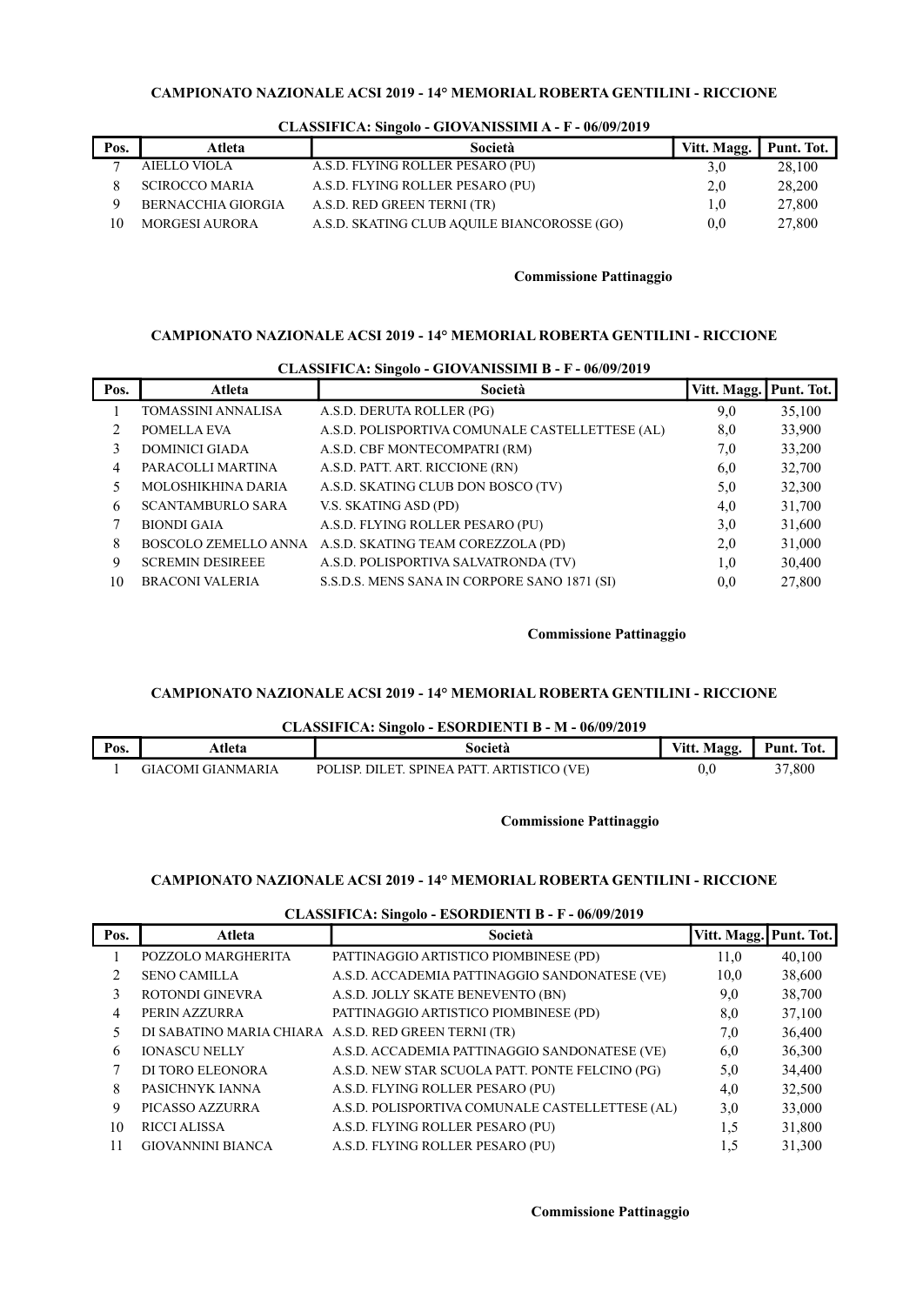| Pos. | Atleta                | Società                                     | Vitt. Magg. | Punt. Tot. |
|------|-----------------------|---------------------------------------------|-------------|------------|
|      | AIELLO VIOLA          | A.S.D. FLYING ROLLER PESARO (PU)            | 3.0         | 28,100     |
|      | <b>SCIROCCO MARIA</b> | A.S.D. FLYING ROLLER PESARO (PU)            | 2.0         | 28,200     |
|      | BERNACCHIA GIORGIA    | A.S.D. RED GREEN TERNI (TR)                 | 1.0         | 27,800     |
| ١O   | <b>MORGESI AURORA</b> | A.S.D. SKATING CLUB AQUILE BIANCOROSSE (GO) | 0.0         | 27,800     |

## CLASSIFICA: Singolo - GIOVANISSIMI A - F - 06/09/2019

## Commissione Pattinaggio

## CAMPIONATO NAZIONALE ACSI 2019 - 14° MEMORIAL ROBERTA GENTILINI - RICCIONE

|      | CLASSIFICA, SHIGUU - GIO VARISSIRII D - F - 00/02/2012 |                                                         |             |            |  |  |
|------|--------------------------------------------------------|---------------------------------------------------------|-------------|------------|--|--|
| Pos. | Atleta                                                 | Società                                                 | Vitt. Magg. | Punt. Tot. |  |  |
|      | TOMASSINI ANNALISA                                     | A.S.D. DERUTA ROLLER (PG)                               | 9,0         | 35,100     |  |  |
|      | POMELLA EVA                                            | A.S.D. POLISPORTIVA COMUNALE CASTELLETTESE (AL)         | 8,0         | 33,900     |  |  |
|      | <b>DOMINICI GIADA</b>                                  | A.S.D. CBF MONTECOMPATRI (RM)                           | 7,0         | 33,200     |  |  |
| 4    | PARACOLLI MARTINA                                      | A.S.D. PATT. ART. RICCIONE (RN)                         | 6,0         | 32,700     |  |  |
| 5.   | MOLOSHIKHINA DARIA                                     | A.S.D. SKATING CLUB DON BOSCO (TV)                      | 5,0         | 32,300     |  |  |
| 6    | <b>SCANTAMBURLO SARA</b>                               | V.S. SKATING ASD (PD)                                   | 4,0         | 31,700     |  |  |
| 7    | <b>BIONDI GAIA</b>                                     | A.S.D. FLYING ROLLER PESARO (PU)                        | 3,0         | 31,600     |  |  |
| 8    |                                                        | BOSCOLO ZEMELLO ANNA A.S.D. SKATING TEAM COREZZOLA (PD) | 2,0         | 31,000     |  |  |
| 9    | <b>SCREMIN DESIREEE</b>                                | A.S.D. POLISPORTIVA SALVATRONDA (TV)                    | 1,0         | 30,400     |  |  |
| 10   | <b>BRACONI VALERIA</b>                                 | S.S.D.S. MENS SANA IN CORPORE SANO 1871 (SI)            | 0,0         | 27,800     |  |  |

# CLASSIFICA: Singolo - GIOVANISSIMI B - F - 06/09/2019

### Commissione Pattinaggio

### CAMPIONATO NAZIONALE ACSI 2019 - 14° MEMORIAL ROBERTA GENTILINI - RICCIONE

### CLASSIFICA: Singolo - ESORDIENTI B - M - 06/09/2019

| Pos. | Atleta            | Società                                    | Vitt. Magg. | Punt. Tot. |
|------|-------------------|--------------------------------------------|-------------|------------|
|      | GIACOMI GIANMARIA | POLISP. DILET. SPINEA PATT. ARTISTICO (VE) | v.v         | 37,800     |

### Commissione Pattinaggio

# CAMPIONATO NAZIONALE ACSI 2019 - 14° MEMORIAL ROBERTA GENTILINI - RICCIONE

| Pos. | Atleta                   | -<br>Società                                         | Vitt. Magg. | Punt. Tot. |
|------|--------------------------|------------------------------------------------------|-------------|------------|
|      | POZZOLO MARGHERITA       | PATTINAGGIO ARTISTICO PIOMBINESE (PD)                | 11,0        | 40,100     |
| 2    | <b>SENO CAMILLA</b>      | A.S.D. ACCADEMIA PATTINAGGIO SANDONATESE (VE)        | 10,0        | 38,600     |
| 3    | ROTONDI GINEVRA          | A.S.D. JOLLY SKATE BENEVENTO (BN)                    | 9,0         | 38,700     |
| 4    | PERIN AZZURRA            | PATTINAGGIO ARTISTICO PIOMBINESE (PD)                | 8,0         | 37,100     |
| 5.   |                          | DI SABATINO MARIA CHIARA A.S.D. RED GREEN TERNI (TR) | 7,0         | 36,400     |
| 6    | <b>IONASCU NELLY</b>     | A.S.D. ACCADEMIA PATTINAGGIO SANDONATESE (VE)        | 6,0         | 36,300     |
|      | DI TORO ELEONORA         | A.S.D. NEW STAR SCUOLA PATT. PONTE FELCINO (PG)      | 5,0         | 34,400     |
| 8    | PASICHNYK IANNA          | A.S.D. FLYING ROLLER PESARO (PU)                     | 4,0         | 32,500     |
| 9    | PICASSO AZZURRA          | A.S.D. POLISPORTIVA COMUNALE CASTELLETTESE (AL)      | 3,0         | 33,000     |
| 10   | <b>RICCI ALISSA</b>      | A.S.D. FLYING ROLLER PESARO (PU)                     | 1.5         | 31,800     |
| 11   | <b>GIOVANNINI BIANCA</b> | A.S.D. FLYING ROLLER PESARO (PU)                     | 1,5         | 31,300     |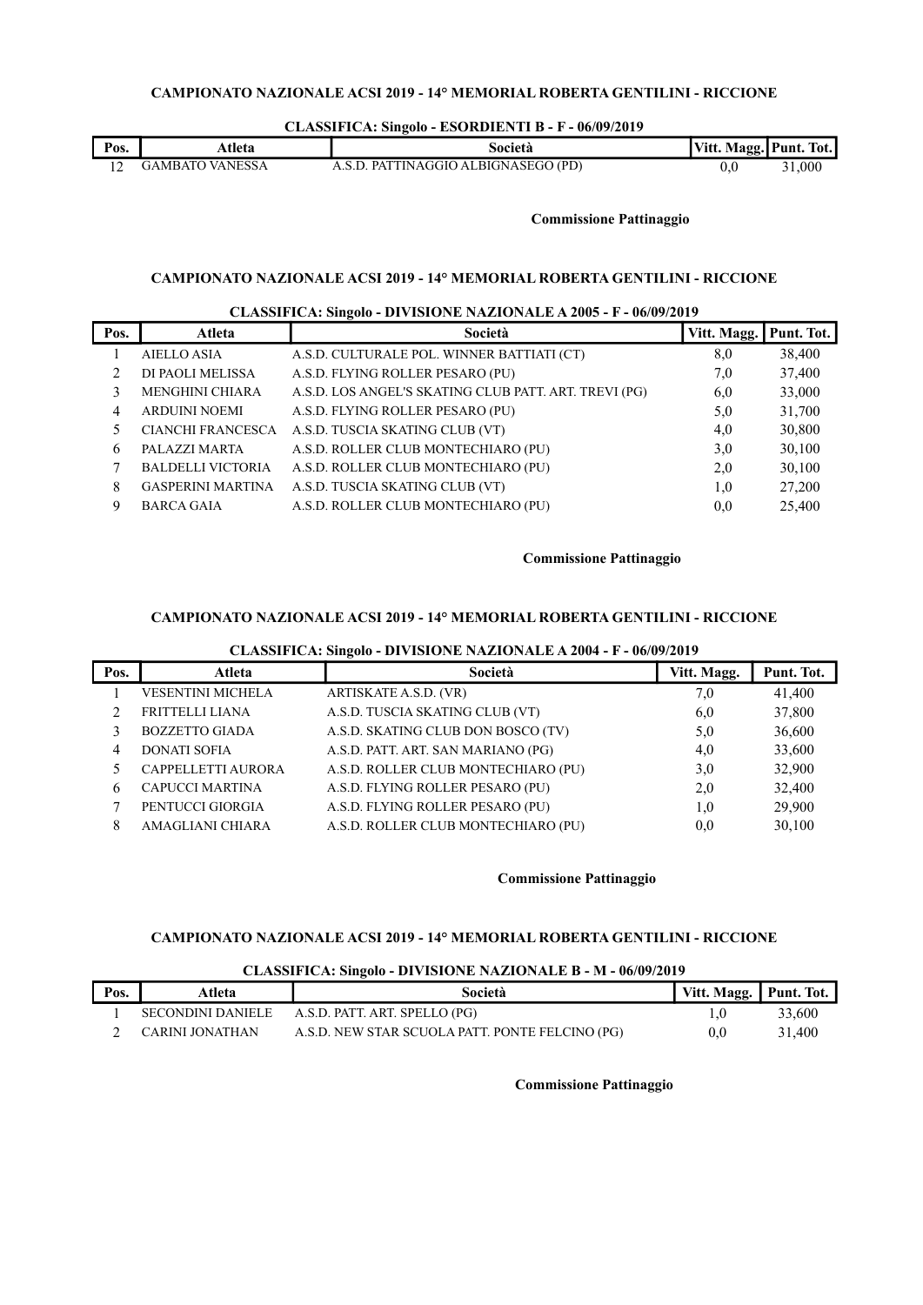### CLASSIFICA: Singolo - ESORDIENTI B - F - 06/09/2019

| Pos. | Atleta                 | Società                        | Vitt. Magg. Punt. Tot. |       |
|------|------------------------|--------------------------------|------------------------|-------|
|      | <b>GAMBATO VANESSA</b> | . PATTINAGGIO ALBIGNASEGO (PD) | 0.C                    | 1,000 |

Commissione Pattinaggio

### CAMPIONATO NAZIONALE ACSI 2019 - 14° MEMORIAL ROBERTA GENTILINI - RICCIONE

### CLASSIFICA: Singolo - DIVISIONE NAZIONALE A 2005 - F - 06/09/2019

| Pos. | Atleta                   | Società                                               | Vitt. Magg. | Punt. Tot. |
|------|--------------------------|-------------------------------------------------------|-------------|------------|
|      | <b>AIELLO ASIA</b>       | A.S.D. CULTURALE POL. WINNER BATTIATI (CT)            | 8,0         | 38,400     |
|      | DI PAOLI MELISSA         | A.S.D. FLYING ROLLER PESARO (PU)                      | 7,0         | 37,400     |
|      | <b>MENGHINI CHIARA</b>   | A.S.D. LOS ANGEL'S SKATING CLUB PATT. ART. TREVI (PG) | 6,0         | 33,000     |
| 4    | <b>ARDUINI NOEMI</b>     | A.S.D. FLYING ROLLER PESARO (PU)                      | 5,0         | 31,700     |
|      | CIANCHI FRANCESCA        | A.S.D. TUSCIA SKATING CLUB (VT)                       | 4,0         | 30,800     |
| 6    | PALAZZI MARTA            | A.S.D. ROLLER CLUB MONTECHIARO (PU)                   | 3,0         | 30,100     |
|      | <b>BALDELLI VICTORIA</b> | A.S.D. ROLLER CLUB MONTECHIARO (PU)                   | 2,0         | 30,100     |
| 8    | <b>GASPERINI MARTINA</b> | A.S.D. TUSCIA SKATING CLUB (VT)                       | 1,0         | 27,200     |
| 9    | <b>BARCA GAIA</b>        | A.S.D. ROLLER CLUB MONTECHIARO (PU)                   | 0.0         | 25,400     |

### Commissione Pattinaggio

### CAMPIONATO NAZIONALE ACSI 2019 - 14° MEMORIAL ROBERTA GENTILINI - RICCIONE

### CLASSIFICA: Singolo - DIVISIONE NAZIONALE A 2004 - F - 06/09/2019

| Pos. | Atleta                 | Società                             | Vitt. Magg. | Punt. Tot. |
|------|------------------------|-------------------------------------|-------------|------------|
|      | VESENTINI MICHELA      | ARTISKATE A.S.D. (VR)               | 7,0         | 41,400     |
|      | FRITTELLI LIANA        | A.S.D. TUSCIA SKATING CLUB (VT)     | 6,0         | 37,800     |
|      | <b>BOZZETTO GIADA</b>  | A.S.D. SKATING CLUB DON BOSCO (TV)  | 5,0         | 36,600     |
|      | <b>DONATI SOFIA</b>    | A.S.D. PATT. ART. SAN MARIANO (PG)  | 4,0         | 33,600     |
|      | CAPPELLETTI AURORA     | A.S.D. ROLLER CLUB MONTECHIARO (PU) | 3,0         | 32,900     |
| 6    | <b>CAPUCCI MARTINA</b> | A.S.D. FLYING ROLLER PESARO (PU)    | 2,0         | 32,400     |
|      | PENTUCCI GIORGIA       | A.S.D. FLYING ROLLER PESARO (PU)    | 1,0         | 29,900     |
| 8    | AMAGLIANI CHIARA       | A.S.D. ROLLER CLUB MONTECHIARO (PU) | 0.0         | 30,100     |

### Commissione Pattinaggio

## CAMPIONATO NAZIONALE ACSI 2019 - 14° MEMORIAL ROBERTA GENTILINI - RICCIONE

### CLASSIFICA: Singolo - DIVISIONE NAZIONALE B - M - 06/09/2019

| $\frac{1}{2}$ |                   |                                                 |                        |        |
|---------------|-------------------|-------------------------------------------------|------------------------|--------|
| Pos.          | Atleta            | Società                                         | Vitt. Magg. Punt. Tot. |        |
|               | SECONDINI DANIELE | A.S.D. PATT. ART. SPELLO (PG)                   |                        | 33,600 |
|               | CARINI JONATHAN   | A.S.D. NEW STAR SCUOLA PATT. PONTE FELCINO (PG) | $0.0\,$                | 31.400 |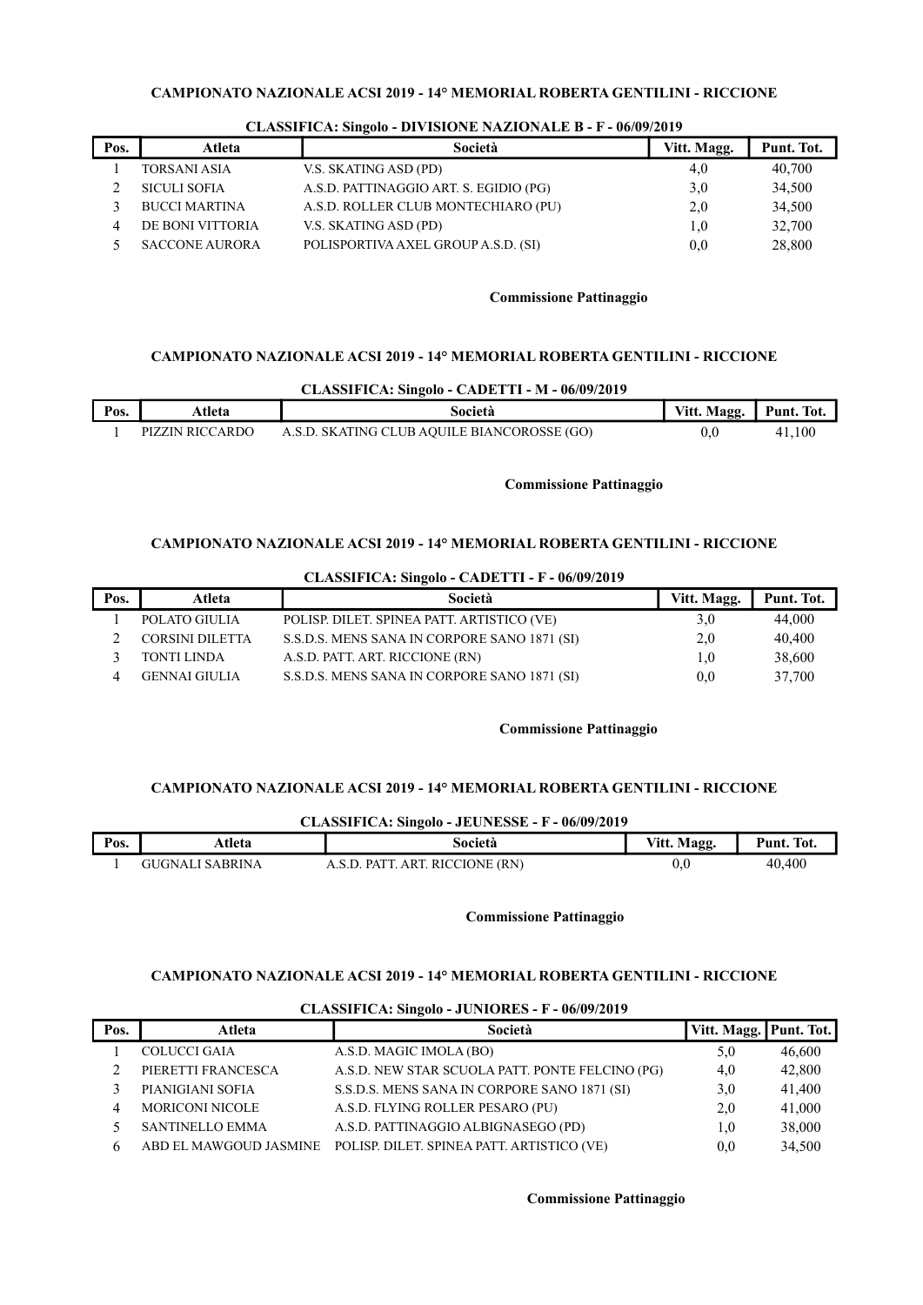| Pos. | Atleta                | Società                                | Vitt. Magg. | Punt. Tot. |
|------|-----------------------|----------------------------------------|-------------|------------|
|      | <b>TORSANI ASIA</b>   | V.S. SKATING ASD (PD)                  | 4,0         | 40,700     |
|      | <b>SICULI SOFIA</b>   | A.S.D. PATTINAGGIO ART. S. EGIDIO (PG) | 3,0         | 34,500     |
|      | <b>BUCCI MARTINA</b>  | A.S.D. ROLLER CLUB MONTECHIARO (PU)    | 2,0         | 34,500     |
|      | DE BONI VITTORIA      | V.S. SKATING ASD (PD)                  | 1,0         | 32,700     |
|      | <b>SACCONE AURORA</b> | POLISPORTIVA AXEL GROUP A.S.D. (SI)    | 0,0         | 28,800     |

## CLASSIFICA: Singolo - DIVISIONE NAZIONALE B - F - 06/09/2019

# Commissione Pattinaggio

### CAMPIONATO NAZIONALE ACSI 2019 - 14° MEMORIAL ROBERTA GENTILINI - RICCIONE

| Pos. | Atleta          | Società                                     | Vitt. Magg.   Punt. Tot. |        |
|------|-----------------|---------------------------------------------|--------------------------|--------|
|      | PIZZIN RICCARDO | A.S.D. SKATING CLUB AQUILE BIANCOROSSE (GO) | 0.0                      | 41.100 |

### Commissione Pattinaggio

## CAMPIONATO NAZIONALE ACSI 2019 - 14° MEMORIAL ROBERTA GENTILINI - RICCIONE

|      |                        | CLASSIFICA: Singolo - CADETTI - F - 06/09/2019 |             |            |
|------|------------------------|------------------------------------------------|-------------|------------|
| Pos. | Atleta                 | Società                                        | Vitt. Magg. | Punt. Tot. |
|      | POLATO GIULIA          | POLISP. DILET. SPINEA PATT. ARTISTICO (VE)     | 3,0         | 44,000     |
|      | <b>CORSINI DILETTA</b> | S.S.D.S. MENS SANA IN CORPORE SANO 1871 (SI)   | 2,0         | 40,400     |
|      | TONTI LINDA            | A.S.D. PATT. ART. RICCIONE (RN)                | $1.0\,$     | 38,600     |
|      | GENNAI GIULIA          | S.S.D.S. MENS SANA IN CORPORE SANO 1871 (SI)   | 0.0         | 37,700     |

### Commissione Pattinaggio

## CAMPIONATO NAZIONALE ACSI 2019 - 14° MEMORIAL ROBERTA GENTILINI - RICCIONE

|      |                 | CLASSIFICA: Singolo - JEUNESSE - F - 06/09/2019 |             |            |
|------|-----------------|-------------------------------------------------|-------------|------------|
| Pos. | Atleta          | Società                                         | Vitt. Magg. | Punt. Tot. |
|      | GUGNALI SABRINA | A.S.D. PATT. ART. RICCIONE (RN)                 | 0,0         | 40.400     |

### Commissione Pattinaggio

#### CAMPIONATO NAZIONALE ACSI 2019 - 14° MEMORIAL ROBERTA GENTILINI - RICCIONE

| $\frac{1}{2}$ |                        |                                                 |                        |        |  |  |
|---------------|------------------------|-------------------------------------------------|------------------------|--------|--|--|
| Pos.          | <b>Atleta</b>          | Società                                         | Vitt. Magg. Punt. Tot. |        |  |  |
|               | <b>COLUCCI GAIA</b>    | A.S.D. MAGIC IMOLA (BO)                         | 5,0                    | 46,600 |  |  |
|               | PIERETTI FRANCESCA     | A.S.D. NEW STAR SCUOLA PATT. PONTE FELCINO (PG) | 4.0                    | 42,800 |  |  |
|               | PIANIGIANI SOFIA       | S.S.D.S. MENS SANA IN CORPORE SANO 1871 (SI)    | 3,0                    | 41,400 |  |  |
|               | <b>MORICONI NICOLE</b> | A.S.D. FLYING ROLLER PESARO (PU)                | 2,0                    | 41,000 |  |  |
|               | <b>SANTINELLO EMMA</b> | A.S.D. PATTINAGGIO ALBIGNASEGO (PD)             | $1.0\,$                | 38,000 |  |  |
|               | ABD EL MAWGOUD JASMINE | POLISP. DILET. SPINEA PATT. ARTISTICO (VE)      | 0.0                    | 34,500 |  |  |

#### CLASSIFICA: Singolo - JUNIORES - F - 06/09/2019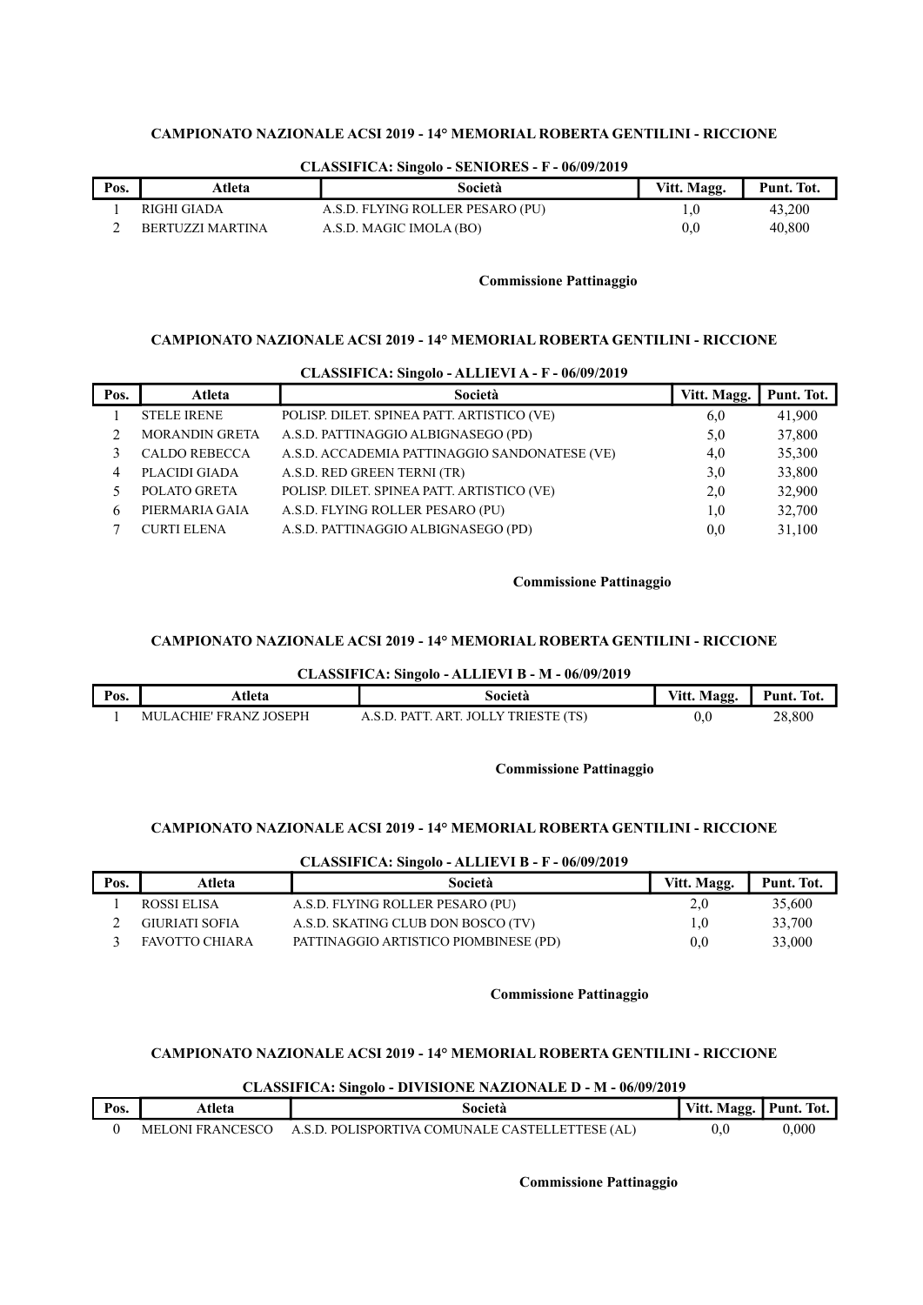|      |                  | Changell Call Difference Deliverence in<br>$001071 - 017$ |             |            |
|------|------------------|-----------------------------------------------------------|-------------|------------|
| Pos. | Atleta           | Società                                                   | Vitt. Magg. | Punt. Tot. |
|      | RIGHI GIADA      | A.S.D. FLYING ROLLER PESARO (PU)                          | 1.U         | 43,200     |
|      | BERTUZZI MARTINA | A.S.D. MAGIC IMOLA (BO)                                   | 0.0         | 40,800     |

## CLASSIFICA: Singolo - SENIORES - F - 06/09/2019

### Commissione Pattinaggio

### CAMPIONATO NAZIONALE ACSI 2019 - 14° MEMORIAL ROBERTA GENTILINI - RICCIONE

| CLASSIFICA: Singolo - ALLIEVI A - F - 06/09/2019 |                       |                                               |             |            |  |  |
|--------------------------------------------------|-----------------------|-----------------------------------------------|-------------|------------|--|--|
| Pos.                                             | Atleta                | Società                                       | Vitt. Magg. | Punt. Tot. |  |  |
|                                                  | <b>STELE IRENE</b>    | POLISP. DILET. SPINEA PATT. ARTISTICO (VE)    | 6,0         | 41,900     |  |  |
|                                                  | <b>MORANDIN GRETA</b> | A.S.D. PATTINAGGIO ALBIGNASEGO (PD)           | 5,0         | 37,800     |  |  |
|                                                  | <b>CALDO REBECCA</b>  | A.S.D. ACCADEMIA PATTINAGGIO SANDONATESE (VE) | 4.0         | 35,300     |  |  |
| 4                                                | PLACIDI GIADA         | A.S.D. RED GREEN TERNI (TR)                   | 3,0         | 33,800     |  |  |
|                                                  | POLATO GRETA          | POLISP. DILET. SPINEA PATT. ARTISTICO (VE)    | 2,0         | 32,900     |  |  |
| 6                                                | PIERMARIA GAIA        | A.S.D. FLYING ROLLER PESARO (PU)              | 1,0         | 32,700     |  |  |
|                                                  | <b>CURTI ELENA</b>    | A.S.D. PATTINAGGIO ALBIGNASEGO (PD)           | 0.0         | 31,100     |  |  |

#### Commissione Pattinaggio

### CAMPIONATO NAZIONALE ACSI 2019 - 14° MEMORIAL ROBERTA GENTILINI - RICCIONE

#### CLASSIFICA: Singolo - ALLIEVI B - M - 06/09/2019

| Pos. | Atleta                 | Società                                                   | Vitt. Magg. | Punt. Tot. |
|------|------------------------|-----------------------------------------------------------|-------------|------------|
|      | MULACHIE' FRANZ JOSEPH | TRIESTE (TS)<br>ART<br>TOL LY T<br>$\mathbf{PAT}$<br>S 11 | J,U         | 28,800     |

### Commissione Pattinaggio

### CAMPIONATO NAZIONALE ACSI 2019 - 14° MEMORIAL ROBERTA GENTILINI - RICCIONE

### CLASSIFICA: Singolo - ALLIEVI B - F - 06/09/2019

| Pos. | Atleta         | Società                               | Vitt. Magg. | Punt. Tot. |
|------|----------------|---------------------------------------|-------------|------------|
|      | ROSSI ELISA    | A.S.D. FLYING ROLLER PESARO (PU)      | 2,0         | 35,600     |
|      | GIURIATI SOFIA | A.S.D. SKATING CLUB DON BOSCO (TV)    | 1.0         | 33,700     |
|      | FAVOTTO CHIARA | PATTINAGGIO ARTISTICO PIOMBINESE (PD) | 0.0         | 33,000     |

### Commissione Pattinaggio

# CAMPIONATO NAZIONALE ACSI 2019 - 14° MEMORIAL ROBERTA GENTILINI - RICCIONE

| <b>CLASSIFICA: Singolo - DIVISIONE NAZIONALE D - M - 06/09/2019</b> |                  |                                                 |                        |       |  |
|---------------------------------------------------------------------|------------------|-------------------------------------------------|------------------------|-------|--|
| Pos.                                                                | Atleta           | Società                                         | Vitt. Magg. Punt. Tot. |       |  |
|                                                                     | MELONI FRANCESCO | A.S.D. POLISPORTIVA COMUNALE CASTELLETTESE (AL) | 0.0                    | 0.000 |  |